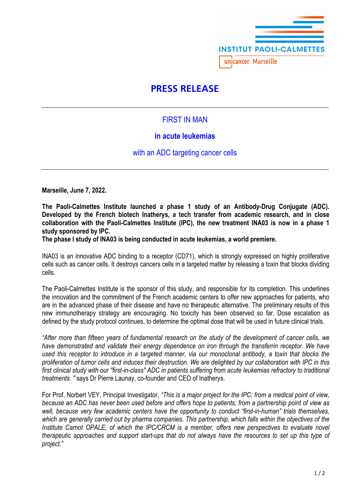

# **PRESS RELEASE**

## FIRST IN MAN

## **in acute leukemias**

with an ADC targeting cancer cells

**Marseille, June 7, 2022.**

**The Paoli-Calmettes Institute launched a phase 1 study of an Antibody-Drug Conjugate (ADC). Developed by the French biotech Inatherys, a tech transfer from academic research, and in close collaboration with the Paoli-Calmettes Institute (IPC), the new treatment INA03 is now in a phase 1 study sponsored by IPC.** 

**The phase I study of INA03 is being conducted in acute leukemias, a world premiere.** 

INA03 is an innovative ADC binding to a receptor (CD71), which is strongly expressed on highly proliferative cells such as cancer cells. It destroys cancers cells in a targeted matter by releasing a toxin that blocks dividing cells.

The Paoli-Calmettes Institute is the sponsor of this study, and responsible for its completion. This underlines the innovation and the commitment of the French academic centers to offer new approaches for patients, who are in the advanced phase of their disease and have no therapeutic alternative. The preliminary results of this new immunotherapy strategy are encouraging. No toxicity has been observed so far. Dose escalation as defined by the study protocol continues, to determine the optimal dose that will be used in future clinical trials.

*"After more than fifteen years of fundamental research on the study of the development of cancer cells, we have demonstrated and validate their energy dependence on iron through the transferrin receptor. We have used this receptor to introduce in a targeted manner, via our monoclonal antibody, a toxin that blocks the proliferation of tumor cells and induces their destruction. We are delighted by our collaboration with IPC in this first clinical study with our "first-in-class" ADC in patients suffering from acute leukemias refractory to traditional treatments. "* says Dr Pierre Launay, co-founder and CEO of Inatherys.

For Prof. Norbert VEY, Principal Investigator, *"This is a major project for the IPC: from a medical point of view, because an ADC has never been used before and offers hope to patients; from a partnership point of view as well, because very few academic centers have the opportunity to conduct "first-in-human" trials themselves, which are generally carried out by pharma companies. This partnership, which falls within the objectives of the Institute Carnot OPALE, of which the IPC/CRCM is a member, offers new perspectives to evaluate novel therapeutic approaches and support start-ups that do not always have the resources to set up this type of project."*